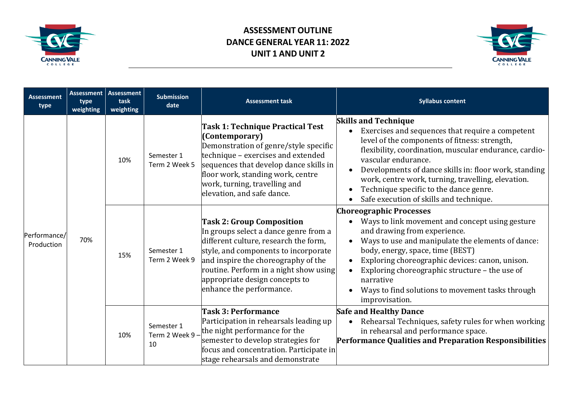



| <b>Assessment</b><br>type  | type<br>weighting | <b>Assessment Assessment</b><br>task<br>weighting | <b>Submission</b><br>date           | <b>Assessment task</b>                                                                                                                                                                                                                                                                                    | <b>Syllabus content</b>                                                                                                                                                                                                                                                                                                                                                                                                                                |
|----------------------------|-------------------|---------------------------------------------------|-------------------------------------|-----------------------------------------------------------------------------------------------------------------------------------------------------------------------------------------------------------------------------------------------------------------------------------------------------------|--------------------------------------------------------------------------------------------------------------------------------------------------------------------------------------------------------------------------------------------------------------------------------------------------------------------------------------------------------------------------------------------------------------------------------------------------------|
| Performance/<br>Production | 70%               | 10%                                               | Semester 1<br>Term 2 Week 5         | Task 1: Technique Practical Test<br>(Contemporary)<br>Demonstration of genre/style specific<br>technique - exercises and extended<br>sequences that develop dance skills in<br>floor work, standing work, centre<br>work, turning, travelling and<br>elevation, and safe dance.                           | <b>Skills and Technique</b><br>Exercises and sequences that require a competent<br>level of the components of fitness: strength,<br>flexibility, coordination, muscular endurance, cardio-<br>vascular endurance.<br>Developments of dance skills in: floor work, standing<br>work, centre work, turning, travelling, elevation.<br>Technique specific to the dance genre.<br>$\bullet$<br>Safe execution of skills and technique.                     |
|                            |                   | 15%                                               | Semester 1<br>Term 2 Week 9         | <b>Task 2: Group Composition</b><br>In groups select a dance genre from a<br>different culture, research the form,<br>style, and components to incorporate<br>and inspire the choreography of the<br>routine. Perform in a night show using<br>appropriate design concepts to<br>enhance the performance. | <b>Choreographic Processes</b><br>Ways to link movement and concept using gesture<br>and drawing from experience.<br>Ways to use and manipulate the elements of dance:<br>$\bullet$<br>body, energy, space, time (BEST)<br>Exploring choreographic devices: canon, unison.<br>$\bullet$<br>Exploring choreographic structure - the use of<br>$\bullet$<br>narrative<br>Ways to find solutions to movement tasks through<br>$\bullet$<br>improvisation. |
|                            |                   | 10%                                               | Semester 1<br>Term 2 Week 9 -<br>10 | <b>Task 3: Performance</b><br>Participation in rehearsals leading up<br>the night performance for the<br>semester to develop strategies for<br>focus and concentration. Participate in<br>stage rehearsals and demonstrate                                                                                | <b>Safe and Healthy Dance</b><br>Rehearsal Techniques, safety rules for when working<br>in rehearsal and performance space.<br>Performance Qualities and Preparation Responsibilities                                                                                                                                                                                                                                                                  |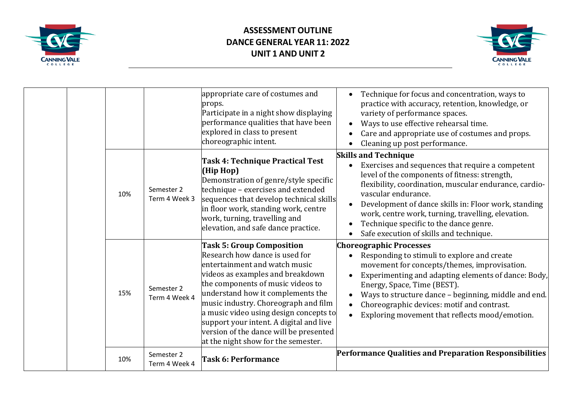



|     |                             | appropriate care of costumes and<br>props.<br>Participate in a night show displaying<br>performance qualities that have been<br>explored in class to present<br>choreographic intent.                                                                                                                                                                                                                                           | Technique for focus and concentration, ways to<br>practice with accuracy, retention, knowledge, or<br>variety of performance spaces.<br>Ways to use effective rehearsal time.<br>Care and appropriate use of costumes and props.<br>Cleaning up post performance.                                                                                                                                                    |
|-----|-----------------------------|---------------------------------------------------------------------------------------------------------------------------------------------------------------------------------------------------------------------------------------------------------------------------------------------------------------------------------------------------------------------------------------------------------------------------------|----------------------------------------------------------------------------------------------------------------------------------------------------------------------------------------------------------------------------------------------------------------------------------------------------------------------------------------------------------------------------------------------------------------------|
| 10% | Semester 2<br>Term 4 Week 3 | Task 4: Technique Practical Test<br>(Hip Hop)<br>Demonstration of genre/style specific<br>technique - exercises and extended<br>sequences that develop technical skills<br>in floor work, standing work, centre<br>work, turning, travelling and<br>elevation, and safe dance practice.                                                                                                                                         | <b>Skills and Technique</b><br>Exercises and sequences that require a competent<br>level of the components of fitness: strength,<br>flexibility, coordination, muscular endurance, cardio-<br>vascular endurance.<br>Development of dance skills in: Floor work, standing<br>work, centre work, turning, travelling, elevation.<br>Technique specific to the dance genre.<br>Safe execution of skills and technique. |
| 15% | Semester 2<br>Term 4 Week 4 | <b>Task 5: Group Composition</b><br>Research how dance is used for<br>entertainment and watch music<br>videos as examples and breakdown<br>the components of music videos to<br>understand how it complements the<br>music industry. Choreograph and film<br>a music video using design concepts to<br>support your intent. A digital and live<br>version of the dance will be presented<br>at the night show for the semester. | <b>Choreographic Processes</b><br>Responding to stimuli to explore and create<br>movement for concepts/themes, improvisation.<br>Experimenting and adapting elements of dance: Body,<br>Energy, Space, Time (BEST).<br>Ways to structure dance - beginning, middle and end.<br>Choreographic devices: motif and contrast.<br>Exploring movement that reflects mood/emotion.                                          |
| 10% | Semester 2<br>Term 4 Week 4 | <b>Task 6: Performance</b>                                                                                                                                                                                                                                                                                                                                                                                                      | Performance Qualities and Preparation Responsibilities                                                                                                                                                                                                                                                                                                                                                               |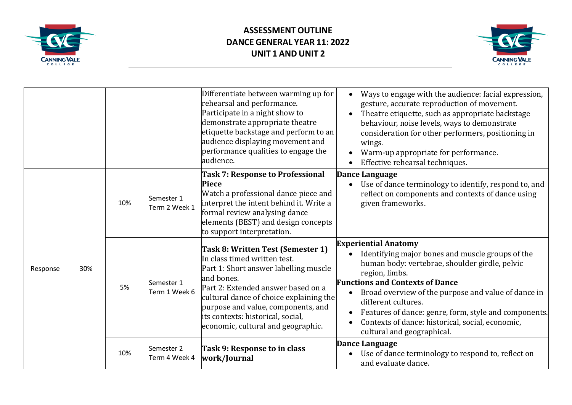



|          |     |     |                             | Differentiate between warming up for<br>rehearsal and performance.<br>Participate in a night show to<br>demonstrate appropriate theatre<br>etiquette backstage and perform to an<br>audience displaying movement and<br>performance qualities to engage the<br>audience.                                                   | Ways to engage with the audience: facial expression,<br>$\bullet$<br>gesture, accurate reproduction of movement.<br>Theatre etiquette, such as appropriate backstage<br>$\bullet$<br>behaviour, noise levels, ways to demonstrate<br>consideration for other performers, positioning in<br>wings.<br>Warm-up appropriate for performance.<br>Effective rehearsal techniques.<br>$\bullet$                                                                     |
|----------|-----|-----|-----------------------------|----------------------------------------------------------------------------------------------------------------------------------------------------------------------------------------------------------------------------------------------------------------------------------------------------------------------------|---------------------------------------------------------------------------------------------------------------------------------------------------------------------------------------------------------------------------------------------------------------------------------------------------------------------------------------------------------------------------------------------------------------------------------------------------------------|
| Response | 30% | 10% | Semester 1<br>Term 2 Week 1 | <b>Task 7: Response to Professional</b><br><b>Piece</b><br>Watch a professional dance piece and<br>interpret the intent behind it. Write a<br>formal review analysing dance<br>elements (BEST) and design concepts<br>to support interpretation.                                                                           | Dance Language<br>Use of dance terminology to identify, respond to, and<br>reflect on components and contexts of dance using<br>given frameworks.                                                                                                                                                                                                                                                                                                             |
|          |     | 5%  | Semester 1<br>Term 1 Week 6 | Task 8: Written Test (Semester 1)<br>In class timed written test.<br>Part 1: Short answer labelling muscle<br>and bones.<br>Part 2: Extended answer based on a<br>cultural dance of choice explaining the<br>purpose and value, components, and<br>its contexts: historical, social,<br>economic, cultural and geographic. | <b>Experiential Anatomy</b><br>Identifying major bones and muscle groups of the<br>human body: vertebrae, shoulder girdle, pelvic<br>region, limbs.<br><b>Functions and Contexts of Dance</b><br>Broad overview of the purpose and value of dance in<br>$\bullet$<br>different cultures.<br>Features of dance: genre, form, style and components.<br>$\bullet$<br>Contexts of dance: historical, social, economic,<br>$\bullet$<br>cultural and geographical. |
|          |     | 10% | Semester 2<br>Term 4 Week 4 | Task 9: Response to in class<br>work/Journal                                                                                                                                                                                                                                                                               | <b>Dance Language</b><br>Use of dance terminology to respond to, reflect on<br>$\bullet$<br>and evaluate dance.                                                                                                                                                                                                                                                                                                                                               |